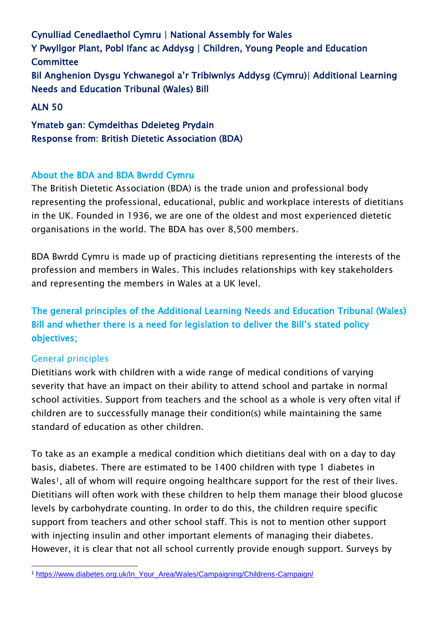Cynulliad Cenedlaethol Cymru | National Assembly for Wales Y Pwyllgor Plant, Pobl Ifanc ac Addysg | Children, Young People and Education **Committee** Bil Anghenion Dysgu Ychwanegol a'r Tribiwnlys Addysg (Cymru)| Additional Learning Needs and Education Tribunal (Wales) Bill

ALN 50

Ymateb gan: Cymdeithas Ddeieteg Prydain Response from: British Dietetic Association (BDA)

## About the BDA and BDA Bwrdd Cymru

The British Dietetic Association (BDA) is the trade union and professional body representing the professional, educational, public and workplace interests of dietitians in the UK. Founded in 1936, we are one of the oldest and most experienced dietetic organisations in the world. The BDA has over 8,500 members.

BDA Bwrdd Cymru is made up of practicing dietitians representing the interests of the profession and members in Wales. This includes relationships with key stakeholders and representing the members in Wales at a UK level.

# The general principles of the Additional Learning Needs and Education Tribunal (Wales) Bill and whether there is a need for legislation to deliver the Bill's stated policy objectives;

## General principles

Dietitians work with children with a wide range of medical conditions of varying severity that have an impact on their ability to attend school and partake in normal school activities. Support from teachers and the school as a whole is very often vital if children are to successfully manage their condition(s) while maintaining the same standard of education as other children.

To take as an example a medical condition which dietitians deal with on a day to day basis, diabetes. There are estimated to be 1400 children with type 1 diabetes in Wales<sup>1</sup>, all of whom will require ongoing healthcare support for the rest of their lives. Dietitians will often work with these children to help them manage their blood glucose levels by carbohydrate counting. In order to do this, the children require specific support from teachers and other school staff. This is not to mention other support with injecting insulin and other important elements of managing their diabetes. However, it is clear that not all school currently provide enough support. Surveys by

 $\overline{a}$ <sup>1</sup> [https://www.diabetes.org.uk/In\\_Your\\_Area/Wales/Campaigning/Childrens-Campaign/](https://www.diabetes.org.uk/In_Your_Area/Wales/Campaigning/Childrens-Campaign/)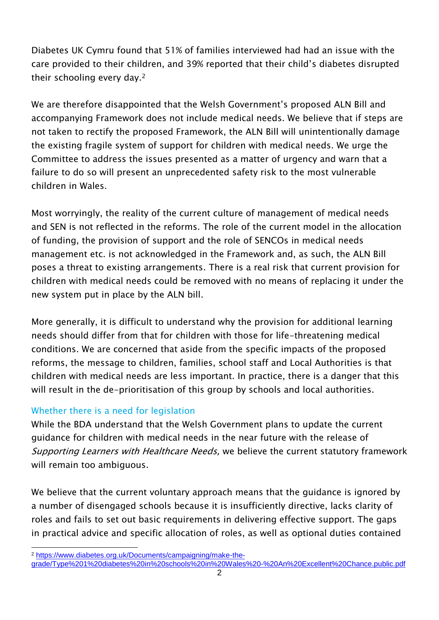Diabetes UK Cymru found that 51% of families interviewed had had an issue with the care provided to their children, and 39% reported that their child's diabetes disrupted their schooling every day.<sup>2</sup>

We are therefore disappointed that the Welsh Government's proposed ALN Bill and accompanying Framework does not include medical needs. We believe that if steps are not taken to rectify the proposed Framework, the ALN Bill will unintentionally damage the existing fragile system of support for children with medical needs. We urge the Committee to address the issues presented as a matter of urgency and warn that a failure to do so will present an unprecedented safety risk to the most vulnerable children in Wales.

Most worryingly, the reality of the current culture of management of medical needs and SEN is not reflected in the reforms. The role of the current model in the allocation of funding, the provision of support and the role of SENCOs in medical needs management etc. is not acknowledged in the Framework and, as such, the ALN Bill poses a threat to existing arrangements. There is a real risk that current provision for children with medical needs could be removed with no means of replacing it under the new system put in place by the ALN bill.

More generally, it is difficult to understand why the provision for additional learning needs should differ from that for children with those for life-threatening medical conditions. We are concerned that aside from the specific impacts of the proposed reforms, the message to children, families, school staff and Local Authorities is that children with medical needs are less important. In practice, there is a danger that this will result in the de-prioritisation of this group by schools and local authorities.

## Whether there is a need for legislation

While the BDA understand that the Welsh Government plans to update the current guidance for children with medical needs in the near future with the release of Supporting Learners with Healthcare Needs, we believe the current statutory framework will remain too ambiguous.

We believe that the current voluntary approach means that the guidance is ignored by a number of disengaged schools because it is insufficiently directive, lacks clarity of roles and fails to set out basic requirements in delivering effective support. The gaps in practical advice and specific allocation of roles, as well as optional duties contained

 $\overline{a}$ <sup>2</sup> [https://www.diabetes.org.uk/Documents/campaigning/make-the-](https://www.diabetes.org.uk/Documents/campaigning/make-the-grade/Type%201%20diabetes%20in%20schools%20in%20Wales%20-%20An%20Excellent%20Chance.public.pdf)

[grade/Type%201%20diabetes%20in%20schools%20in%20Wales%20-%20An%20Excellent%20Chance.public.pdf](https://www.diabetes.org.uk/Documents/campaigning/make-the-grade/Type%201%20diabetes%20in%20schools%20in%20Wales%20-%20An%20Excellent%20Chance.public.pdf)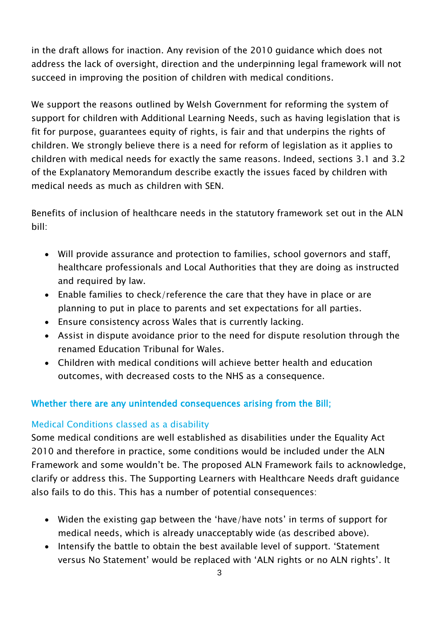in the draft allows for inaction. Any revision of the 2010 guidance which does not address the lack of oversight, direction and the underpinning legal framework will not succeed in improving the position of children with medical conditions.

We support the reasons outlined by Welsh Government for reforming the system of support for children with Additional Learning Needs, such as having legislation that is fit for purpose, guarantees equity of rights, is fair and that underpins the rights of children. We strongly believe there is a need for reform of legislation as it applies to children with medical needs for exactly the same reasons. Indeed, sections 3.1 and 3.2 of the Explanatory Memorandum describe exactly the issues faced by children with medical needs as much as children with SEN.

Benefits of inclusion of healthcare needs in the statutory framework set out in the ALN bill:

- Will provide assurance and protection to families, school governors and staff, healthcare professionals and Local Authorities that they are doing as instructed and required by law.
- Enable families to check/reference the care that they have in place or are planning to put in place to parents and set expectations for all parties.
- Ensure consistency across Wales that is currently lacking.
- Assist in dispute avoidance prior to the need for dispute resolution through the renamed Education Tribunal for Wales.
- Children with medical conditions will achieve better health and education outcomes, with decreased costs to the NHS as a consequence.

## Whether there are any unintended consequences arising from the Bill;

#### Medical Conditions classed as a disability

Some medical conditions are well established as disabilities under the Equality Act 2010 and therefore in practice, some conditions would be included under the ALN Framework and some wouldn't be. The proposed ALN Framework fails to acknowledge, clarify or address this. The Supporting Learners with Healthcare Needs draft guidance also fails to do this. This has a number of potential consequences:

- Widen the existing gap between the 'have/have nots' in terms of support for medical needs, which is already unacceptably wide (as described above).
- Intensify the battle to obtain the best available level of support. 'Statement versus No Statement' would be replaced with 'ALN rights or no ALN rights'. It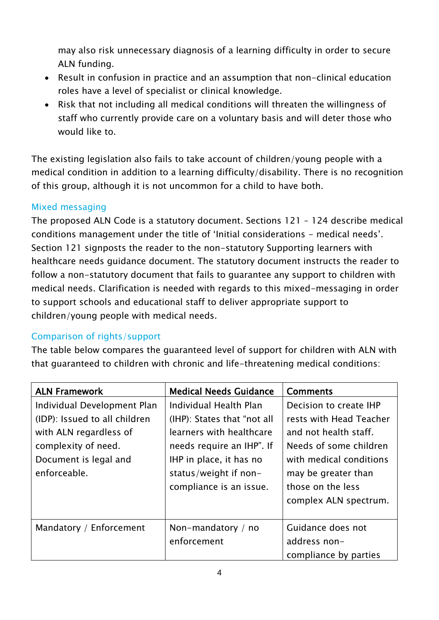may also risk unnecessary diagnosis of a learning difficulty in order to secure ALN funding.

- Result in confusion in practice and an assumption that non-clinical education roles have a level of specialist or clinical knowledge.
- Risk that not including all medical conditions will threaten the willingness of staff who currently provide care on a voluntary basis and will deter those who would like to.

The existing legislation also fails to take account of children/young people with a medical condition in addition to a learning difficulty/disability. There is no recognition of this group, although it is not uncommon for a child to have both.

### Mixed messaging

The proposed ALN Code is a statutory document. Sections 121 – 124 describe medical conditions management under the title of 'Initial considerations - medical needs'. Section 121 signposts the reader to the non-statutory Supporting learners with healthcare needs guidance document. The statutory document instructs the reader to follow a non-statutory document that fails to guarantee any support to children with medical needs. Clarification is needed with regards to this mixed-messaging in order to support schools and educational staff to deliver appropriate support to children/young people with medical needs.

## Comparison of rights/support

The table below compares the guaranteed level of support for children with ALN with that guaranteed to children with chronic and life-threatening medical conditions:

| <b>ALN Framework</b>          | <b>Medical Needs Guidance</b> | <b>Comments</b>         |
|-------------------------------|-------------------------------|-------------------------|
| Individual Development Plan   | Individual Health Plan        | Decision to create IHP  |
| (IDP): Issued to all children | (IHP): States that "not all   | rests with Head Teacher |
| with ALN regardless of        | learners with healthcare      | and not health staff.   |
| complexity of need.           | needs require an IHP". If     | Needs of some children  |
| Document is legal and         | IHP in place, it has no       | with medical conditions |
| enforceable.                  | status/weight if non-         | may be greater than     |
|                               | compliance is an issue.       | those on the less       |
|                               |                               | complex ALN spectrum.   |
|                               |                               |                         |
| Mandatory / Enforcement       | Non-mandatory / no            | Guidance does not       |
|                               | enforcement                   | address non-            |
|                               |                               | compliance by parties   |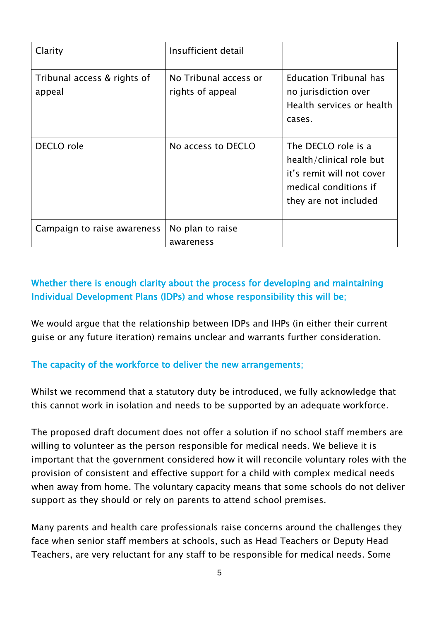| Clarity                               | Insufficient detail                       |                                                                                                                                |
|---------------------------------------|-------------------------------------------|--------------------------------------------------------------------------------------------------------------------------------|
| Tribunal access & rights of<br>appeal | No Tribunal access or<br>rights of appeal | <b>Education Tribunal has</b><br>no jurisdiction over<br>Health services or health<br>cases.                                   |
| DECLO role                            | No access to DECLO                        | The DECLO role is a<br>health/clinical role but<br>it's remit will not cover<br>medical conditions if<br>they are not included |
| Campaign to raise awareness           | No plan to raise                          |                                                                                                                                |
|                                       | awareness                                 |                                                                                                                                |

## Whether there is enough clarity about the process for developing and maintaining Individual Development Plans (IDPs) and whose responsibility this will be;

We would argue that the relationship between IDPs and IHPs (in either their current guise or any future iteration) remains unclear and warrants further consideration.

## The capacity of the workforce to deliver the new arrangements;

Whilst we recommend that a statutory duty be introduced, we fully acknowledge that this cannot work in isolation and needs to be supported by an adequate workforce.

The proposed draft document does not offer a solution if no school staff members are willing to volunteer as the person responsible for medical needs. We believe it is important that the government considered how it will reconcile voluntary roles with the provision of consistent and effective support for a child with complex medical needs when away from home. The voluntary capacity means that some schools do not deliver support as they should or rely on parents to attend school premises.

Many parents and health care professionals raise concerns around the challenges they face when senior staff members at schools, such as Head Teachers or Deputy Head Teachers, are very reluctant for any staff to be responsible for medical needs. Some